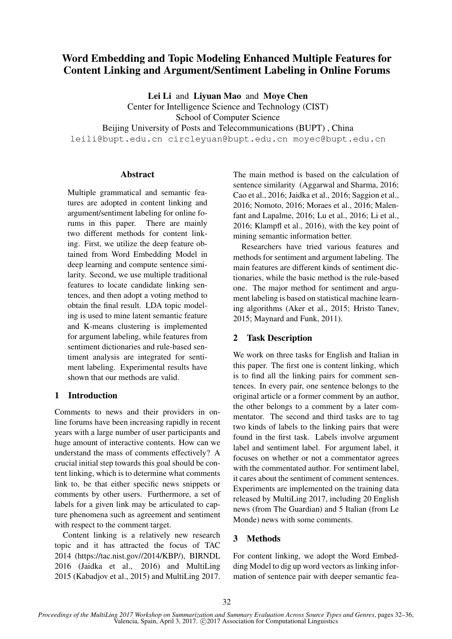# Word Embedding and Topic Modeling Enhanced Multiple Features for Content Linking and Argument/Sentiment Labeling in Online Forums

Lei Li and Liyuan Mao and Moye Chen

Center for Intelligence Science and Technology (CIST)

School of Computer Science

Beijing University of Posts and Telecommunications (BUPT) , China

leili@bupt.edu.cn circleyuan@bupt.edu.cn moyec@bupt.edu.cn

# **Abstract**

Multiple grammatical and semantic features are adopted in content linking and argument/sentiment labeling for online forums in this paper. There are mainly two different methods for content linking. First, we utilize the deep feature obtained from Word Embedding Model in deep learning and compute sentence similarity. Second, we use multiple traditional features to locate candidate linking sentences, and then adopt a voting method to obtain the final result. LDA topic modeling is used to mine latent semantic feature and K-means clustering is implemented for argument labeling, while features from sentiment dictionaries and rule-based sentiment analysis are integrated for sentiment labeling. Experimental results have shown that our methods are valid.

# 1 Introduction

Comments to news and their providers in online forums have been increasing rapidly in recent years with a large number of user participants and huge amount of interactive contents. How can we understand the mass of comments effectively? A crucial initial step towards this goal should be content linking, which is to determine what comments link to, be that either specific news snippets or comments by other users. Furthermore, a set of labels for a given link may be articulated to capture phenomena such as agreement and sentiment with respect to the comment target.

Content linking is a relatively new research topic and it has attracted the focus of TAC 2014 (https://tac.nist.gov//2014/KBP/), BIRNDL 2016 (Jaidka et al., 2016) and MultiLing 2015 (Kabadjov et al., 2015) and MultiLing 2017.

The main method is based on the calculation of sentence similarity (Aggarwal and Sharma, 2016; Cao et al., 2016; Jaidka et al., 2016; Saggion et al., 2016; Nomoto, 2016; Moraes et al., 2016; Malenfant and Lapalme, 2016; Lu et al., 2016; Li et al., 2016; Klampfl et al., 2016), with the key point of mining semantic information better.

Researchers have tried various features and methods for sentiment and argument labeling. The main features are different kinds of sentiment dictionaries, while the basic method is the rule-based one. The major method for sentiment and argument labeling is based on statistical machine learning algorithms (Aker et al., 2015; Hristo Tanev, 2015; Maynard and Funk, 2011).

# 2 Task Description

We work on three tasks for English and Italian in this paper. The first one is content linking, which is to find all the linking pairs for comment sentences. In every pair, one sentence belongs to the original article or a former comment by an author, the other belongs to a comment by a later commentator. The second and third tasks are to tag two kinds of labels to the linking pairs that were found in the first task. Labels involve argument label and sentiment label. For argument label, it focuses on whether or not a commentator agrees with the commentated author. For sentiment label, it cares about the sentiment of comment sentences. Experiments are implemented on the training data released by MultiLing 2017, including 20 English news (from The Guardian) and 5 Italian (from Le Monde) news with some comments.

# 3 Methods

For content linking, we adopt the Word Embedding Model to dig up word vectors as linking information of sentence pair with deeper semantic fea-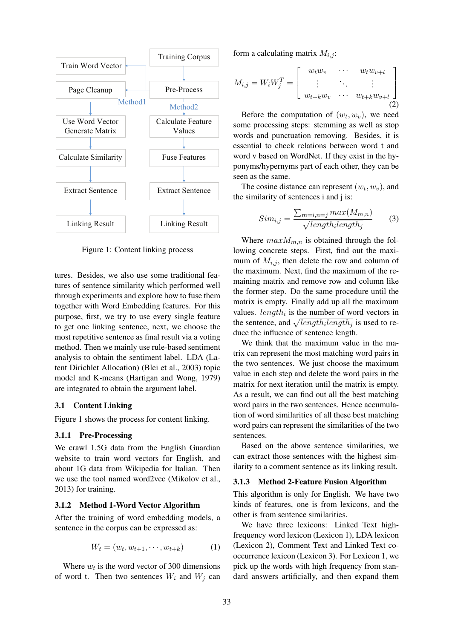

Figure 1: Content linking process

tures. Besides, we also use some traditional features of sentence similarity which performed well through experiments and explore how to fuse them together with Word Embedding features. For this purpose, first, we try to use every single feature to get one linking sentence, next, we choose the most repetitive sentence as final result via a voting method. Then we mainly use rule-based sentiment analysis to obtain the sentiment label. LDA (Latent Dirichlet Allocation) (Blei et al., 2003) topic model and K-means (Hartigan and Wong, 1979) are integrated to obtain the argument label.

#### 3.1 Content Linking

Figure 1 shows the process for content linking.

### 3.1.1 Pre-Processing

We crawl 1.5G data from the English Guardian website to train word vectors for English, and about 1G data from Wikipedia for Italian. Then we use the tool named word2vec (Mikolov et al., 2013) for training.

## 3.1.2 Method 1-Word Vector Algorithm

After the training of word embedding models, a sentence in the corpus can be expressed as:

$$
W_t = (w_t, w_{t+1}, \cdots, w_{t+k})
$$
 (1)

Where  $w_t$  is the word vector of 300 dimensions of word t. Then two sentences  $W_i$  and  $W_j$  can form a calculating matrix  $M_{i,j}$ :

$$
M_{i,j} = W_i W_j^T = \begin{bmatrix} w_t w_v & \cdots & w_t w_{v+l} \\ \vdots & \ddots & \vdots \\ w_{t+k} w_v & \cdots & w_{t+k} w_{v+l} \end{bmatrix}
$$
\n(2)

Before the computation of  $(w_t, w_v)$ , we need some processing steps: stemming as well as stop words and punctuation removing. Besides, it is essential to check relations between word t and word v based on WordNet. If they exist in the hyponyms/hypernyms part of each other, they can be seen as the same.

The cosine distance can represent  $(w_t, w_v)$ , and the similarity of sentences i and j is:

$$
Sim_{i,j} = \frac{\sum_{m=i,n=j} max(M_{m,n})}{\sqrt{length_i length_j}} \tag{3}
$$

Where  $maxM_{m,n}$  is obtained through the following concrete steps. First, find out the maximum of  $M_{i,j}$ , then delete the row and column of the maximum. Next, find the maximum of the remaining matrix and remove row and column like the former step. Do the same procedure until the matrix is empty. Finally add up all the maximum values.  $length_i$  is the number of word vectors in the sentence, and  $\sqrt{length_i length_j}$  is used to reduce the influence of sentence length.

We think that the maximum value in the matrix can represent the most matching word pairs in the two sentences. We just choose the maximum value in each step and delete the word pairs in the matrix for next iteration until the matrix is empty. As a result, we can find out all the best matching word pairs in the two sentences. Hence accumulation of word similarities of all these best matching word pairs can represent the similarities of the two sentences.

Based on the above sentence similarities, we can extract those sentences with the highest similarity to a comment sentence as its linking result.

#### 3.1.3 Method 2-Feature Fusion Algorithm

This algorithm is only for English. We have two kinds of features, one is from lexicons, and the other is from sentence similarities.

We have three lexicons: Linked Text highfrequency word lexicon (Lexicon 1), LDA lexicon (Lexicon 2), Comment Text and Linked Text cooccurrence lexicon (Lexicon 3). For Lexicon 1, we pick up the words with high frequency from standard answers artificially, and then expand them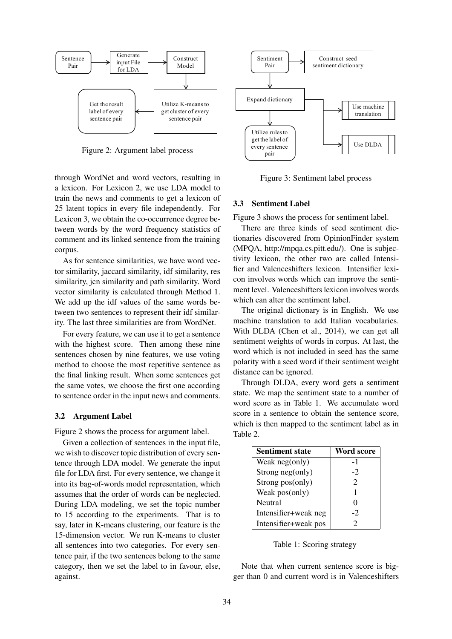

Figure 2: Argument label process

through WordNet and word vectors, resulting in a lexicon. For Lexicon 2, we use LDA model to train the news and comments to get a lexicon of 25 latent topics in every file independently. For Lexicon 3, we obtain the co-occurrence degree between words by the word frequency statistics of comment and its linked sentence from the training corpus.

As for sentence similarities, we have word vector similarity, jaccard similarity, idf similarity, res similarity, jcn similarity and path similarity. Word vector similarity is calculated through Method 1. We add up the idf values of the same words between two sentences to represent their idf similarity. The last three similarities are from WordNet.

For every feature, we can use it to get a sentence with the highest score. Then among these nine sentences chosen by nine features, we use voting method to choose the most repetitive sentence as the final linking result. When some sentences get the same votes, we choose the first one according to sentence order in the input news and comments.

### 3.2 Argument Label

Figure 2 shows the process for argument label.

Given a collection of sentences in the input file, we wish to discover topic distribution of every sentence through LDA model. We generate the input file for LDA first. For every sentence, we change it into its bag-of-words model representation, which assumes that the order of words can be neglected. During LDA modeling, we set the topic number to 15 according to the experiments. That is to say, later in K-means clustering, our feature is the 15-dimension vector. We run K-means to cluster all sentences into two categories. For every sentence pair, if the two sentences belong to the same category, then we set the label to in favour, else, against.



Figure 3: Sentiment label process

#### 3.3 Sentiment Label

Figure 3 shows the process for sentiment label.

There are three kinds of seed sentiment dictionaries discovered from OpinionFinder system (MPQA, http://mpqa.cs.pitt.edu/). One is subjectivity lexicon, the other two are called Intensifier and Valenceshifters lexicon. Intensifier lexicon involves words which can improve the sentiment level. Valenceshifters lexicon involves words which can alter the sentiment label.

The original dictionary is in English. We use machine translation to add Italian vocabularies. With DLDA (Chen et al., 2014), we can get all sentiment weights of words in corpus. At last, the word which is not included in seed has the same polarity with a seed word if their sentiment weight distance can be ignored.

Through DLDA, every word gets a sentiment state. We map the sentiment state to a number of word score as in Table 1. We accumulate word score in a sentence to obtain the sentence score, which is then mapped to the sentiment label as in Table 2.

| <b>Sentiment state</b> | Word score |
|------------------------|------------|
| Weak neg(only)         | $-1$       |
| Strong neg(only)       | $-2$       |
| Strong pos(only)       | 2          |
| Weak pos(only)         |            |
| Neutral                | 0          |
| Intensifier+weak neg   | $-2$       |
| Intensifier+weak pos   | 2          |

Table 1: Scoring strategy

Note that when current sentence score is bigger than 0 and current word is in Valenceshifters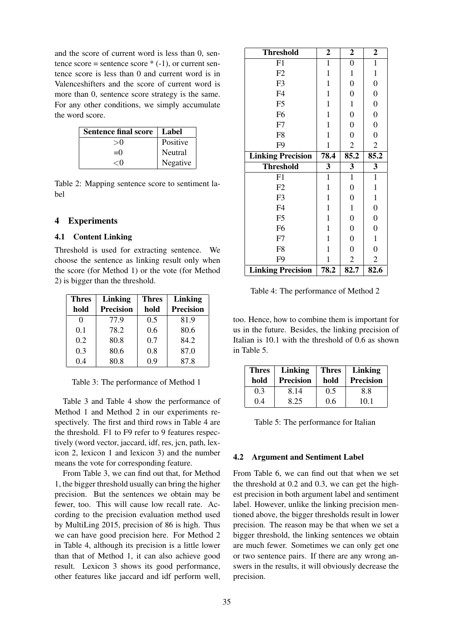and the score of current word is less than 0, sentence score = sentence score  $*(-1)$ , or current sentence score is less than 0 and current word is in Valenceshifters and the score of current word is more than 0, sentence score strategy is the same. For any other conditions, we simply accumulate the word score.

| <b>Sentence final score</b> | Label    |
|-----------------------------|----------|
|                             | Positive |
| $=()$                       | Neutral  |
| ∕ ∪                         | Negative |

Table 2: Mapping sentence score to sentiment label

# 4 Experiments

# 4.1 Content Linking

Threshold is used for extracting sentence. We choose the sentence as linking result only when the score (for Method 1) or the vote (for Method 2) is bigger than the threshold.

| <b>Thres</b> | <b>Linking</b>   | <b>Thres</b> | Linking          |
|--------------|------------------|--------------|------------------|
| hold         | <b>Precision</b> | hold         | <b>Precision</b> |
| 0            | 77.9             | 0.5          | 81.9             |
| 0.1          | 78.2             | 0.6          | 80.6             |
| 0.2          | 80.8             | 0.7          | 84.2             |
| 0.3          | 80.6             | 0.8          | 87.0             |
| 0.4          | 80.8             | 0.9          | 87.8             |

Table 3: The performance of Method 1

Table 3 and Table 4 show the performance of Method 1 and Method 2 in our experiments respectively. The first and third rows in Table 4 are the threshold. F1 to F9 refer to 9 features respectively (word vector, jaccard, idf, res, jcn, path, lexicon 2, lexicon 1 and lexicon 3) and the number means the vote for corresponding feature.

From Table 3, we can find out that, for Method 1, the bigger threshold usually can bring the higher precision. But the sentences we obtain may be fewer, too. This will cause low recall rate. According to the precision evaluation method used by MultiLing 2015, precision of 86 is high. Thus we can have good precision here. For Method 2 in Table 4, although its precision is a little lower than that of Method 1, it can also achieve good result. Lexicon 3 shows its good performance, other features like jaccard and idf perform well,

| <b>Threshold</b>         | $\overline{2}$ | $\boldsymbol{2}$ | $\boldsymbol{2}$ |
|--------------------------|----------------|------------------|------------------|
| F1                       | $\mathbf{1}$   | $\boldsymbol{0}$ | $\mathbf{1}$     |
| F2                       | $\mathbf{1}$   | $\mathbf 1$      | $\mathbf{1}$     |
| F <sub>3</sub>           | $\mathbf{1}$   | $\overline{0}$   | $\overline{0}$   |
| F <sub>4</sub>           | $\mathbf{1}$   | $\boldsymbol{0}$ | $\boldsymbol{0}$ |
| F <sub>5</sub>           | $\mathbf{1}$   | $\mathbf{1}$     | $\overline{0}$   |
| F <sub>6</sub>           | $\mathbf{1}$   | $\overline{0}$   | $\overline{0}$   |
| F7                       | $\mathbf{1}$   | $\boldsymbol{0}$ | $\boldsymbol{0}$ |
| F <sub>8</sub>           | $\mathbf{1}$   | $\boldsymbol{0}$ | $\overline{0}$   |
| F <sub>9</sub>           | $\mathbf{1}$   | $\mathfrak{2}$   | $\overline{2}$   |
| <b>Linking Precision</b> | 78.4           | 85.2             | 85.2             |
|                          |                |                  |                  |
| <b>Threshold</b>         | 3              | 3                | 3                |
| F1                       | $\mathbf{1}$   | $\mathbf{1}$     | $\mathbf{1}$     |
| F2                       | $\mathbf{1}$   | $\overline{0}$   | $\mathbf{1}$     |
| F <sub>3</sub>           | $\mathbf{1}$   | $\boldsymbol{0}$ | $\mathbf{1}$     |
| F <sub>4</sub>           | $\mathbf{1}$   | $\mathbf{1}$     | $\boldsymbol{0}$ |
| F <sub>5</sub>           | $\mathbf{1}$   | $\boldsymbol{0}$ | $\boldsymbol{0}$ |
| F <sub>6</sub>           | $\mathbf{1}$   | $\boldsymbol{0}$ | $\boldsymbol{0}$ |
| F7                       | $\mathbf{1}$   | $\overline{0}$   | $\mathbf{1}$     |
| F <sub>8</sub>           | $\mathbf{1}$   | $\overline{0}$   | $\boldsymbol{0}$ |
| F <sub>9</sub>           | $\mathbf{1}$   | $\overline{2}$   | $\overline{2}$   |

Table 4: The performance of Method 2

too. Hence, how to combine them is important for us in the future. Besides, the linking precision of Italian is 10.1 with the threshold of 0.6 as shown in Table 5.

| <b>Thres</b> | Linking          | <b>Thres</b> | Linking          |
|--------------|------------------|--------------|------------------|
| hold         | <b>Precision</b> | hold         | <b>Precision</b> |
| 0.3          | 8.14             | 0.5          | 8.8              |
| 0.4          | 8.25             | 0.6          | 10.1             |

Table 5: The performance for Italian

# 4.2 Argument and Sentiment Label

From Table 6, we can find out that when we set the threshold at 0.2 and 0.3, we can get the highest precision in both argument label and sentiment label. However, unlike the linking precision mentioned above, the bigger thresholds result in lower precision. The reason may be that when we set a bigger threshold, the linking sentences we obtain are much fewer. Sometimes we can only get one or two sentence pairs. If there are any wrong answers in the results, it will obviously decrease the precision.